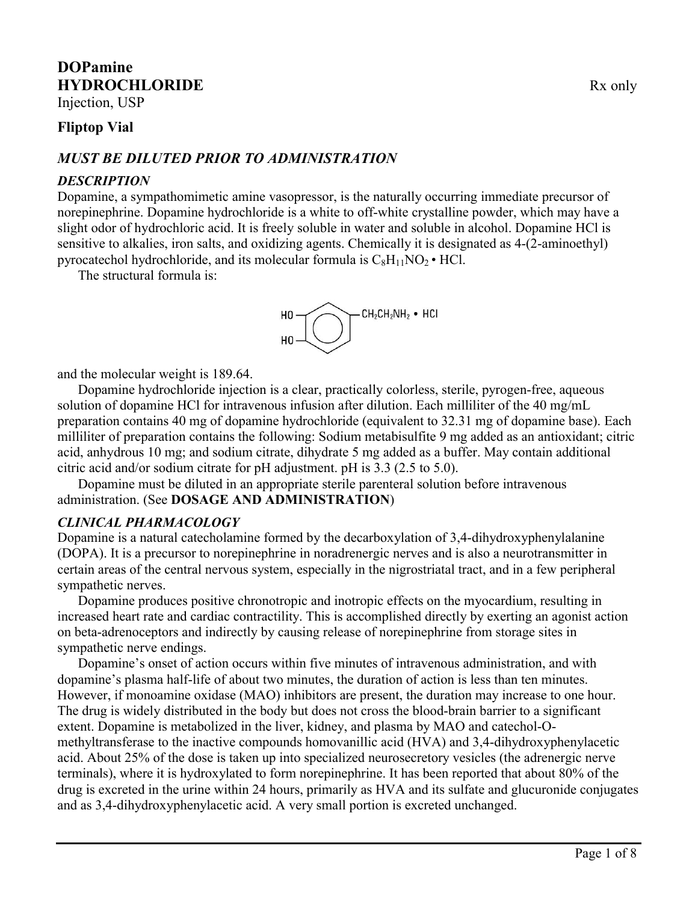# **DOPamine HYDROCHLORIDE** Rx only

Injection, USP

# **Fliptop Vial**

# *MUST BE DILUTED PRIOR TO ADMINISTRATION*

## *DESCRIPTION*

Dopamine, a sympathomimetic amine vasopressor, is the naturally occurring immediate precursor of norepinephrine. Dopamine hydrochloride is a white to off-white crystalline powder, which may have a slight odor of hydrochloric acid. It is freely soluble in water and soluble in alcohol. Dopamine HCl is sensitive to alkalies, iron salts, and oxidizing agents. Chemically it is designated as 4-(2-aminoethyl) pyrocatechol hydrochloride, and its molecular formula is  $C_8H_{11}NO_2 \cdot HCl$ .

The structural formula is:



and the molecular weight is 189.64.

Dopamine hydrochloride injection is a clear, practically colorless, sterile, pyrogen-free, aqueous solution of dopamine HCl for intravenous infusion after dilution. Each milliliter of the 40 mg/mL preparation contains 40 mg of dopamine hydrochloride (equivalent to 32.31 mg of dopamine base). Each milliliter of preparation contains the following: Sodium metabisulfite 9 mg added as an antioxidant; citric acid, anhydrous 10 mg; and sodium citrate, dihydrate 5 mg added as a buffer. May contain additional citric acid and/or sodium citrate for pH adjustment. pH is 3.3 (2.5 to 5.0).

Dopamine must be diluted in an appropriate sterile parenteral solution before intravenous administration. (See **DOSAGE AND ADMINISTRATION**)

# *CLINICAL PHARMACOLOGY*

Dopamine is a natural catecholamine formed by the decarboxylation of 3,4-dihydroxyphenylalanine (DOPA). It is a precursor to norepinephrine in noradrenergic nerves and is also a neurotransmitter in certain areas of the central nervous system, especially in the nigrostriatal tract, and in a few peripheral sympathetic nerves.

Dopamine produces positive chronotropic and inotropic effects on the myocardium, resulting in increased heart rate and cardiac contractility. This is accomplished directly by exerting an agonist action on beta-adrenoceptors and indirectly by causing release of norepinephrine from storage sites in sympathetic nerve endings.

Dopamine's onset of action occurs within five minutes of intravenous administration, and with dopamine's plasma half-life of about two minutes, the duration of action is less than ten minutes. However, if monoamine oxidase (MAO) inhibitors are present, the duration may increase to one hour. The drug is widely distributed in the body but does not cross the blood-brain barrier to a significant extent. Dopamine is metabolized in the liver, kidney, and plasma by MAO and catechol-Omethyltransferase to the inactive compounds homovanillic acid (HVA) and 3,4-dihydroxyphenylacetic acid. About 25% of the dose is taken up into specialized neurosecretory vesicles (the adrenergic nerve terminals), where it is hydroxylated to form norepinephrine. It has been reported that about 80% of the drug is excreted in the urine within 24 hours, primarily as HVA and its sulfate and glucuronide conjugates and as 3,4-dihydroxyphenylacetic acid. A very small portion is excreted unchanged.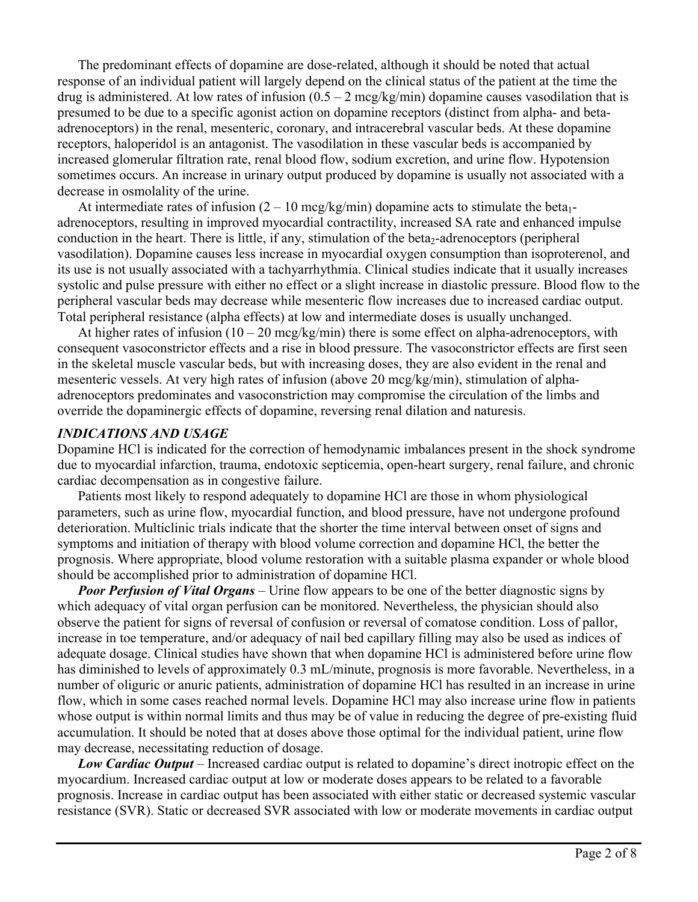The predominant effects of dopamine are dose-related, although it should be noted that actual response of an individual patient will largely depend on the clinical status of the patient at the time the drug is administered. At low rates of infusion  $(0.5 - 2 \text{~mag/kg/min})$  dopamine causes vasodilation that is presumed to be due to a specific agonist action on dopamine receptors (distinct from alpha- and betaadrenoceptors) in the renal, mesenteric, coronary, and intracerebral vascular beds. At these dopamine receptors, haloperidol is an antagonist. The vasodilation in these vascular beds is accompanied by increased glomerular filtration rate, renal blood flow, sodium excretion, and urine flow. Hypotension sometimes occurs. An increase in urinary output produced by dopamine is usually not associated with a decrease in osmolality of the urine.

At intermediate rates of infusion  $(2 - 10 \text{~mag/kg/min})$  dopamine acts to stimulate the beta<sub>1</sub>adrenoceptors, resulting in improved myocardial contractility, increased SA rate and enhanced impulse conduction in the heart. There is little, if any, stimulation of the beta<sub>2</sub>-adrenoceptors (peripheral vasodilation). Dopamine causes less increase in myocardial oxygen consumption than isoproterenol, and its use is not usually associated with a tachyarrhythmia. Clinical studies indicate that it usually increases systolic and pulse pressure with either no effect or a slight increase in diastolic pressure. Blood flow to the peripheral vascular beds may decrease while mesenteric flow increases due to increased cardiac output. Total peripheral resistance (alpha effects) at low and intermediate doses is usually unchanged.

At higher rates of infusion  $(10 - 20 \text{~mag/kg/min})$  there is some effect on alpha-adrenoceptors, with consequent vasoconstrictor effects and a rise in blood pressure. The vasoconstrictor effects are first seen in the skeletal muscle vascular beds, but with increasing doses, they are also evident in the renal and mesenteric vessels. At very high rates of infusion (above 20 mcg/kg/min), stimulation of alphaadrenoceptors predominates and vasoconstriction may compromise the circulation of the limbs and override the dopaminergic effects of dopamine, reversing renal dilation and naturesis.

#### *INDICATIONS AND USAGE*

Dopamine HCl is indicated for the correction of hemodynamic imbalances present in the shock syndrome due to myocardial infarction, trauma, endotoxic septicemia, open-heart surgery, renal failure, and chronic cardiac decompensation as in congestive failure.

Patients most likely to respond adequately to dopamine HCl are those in whom physiological parameters, such as urine flow, myocardial function, and blood pressure, have not undergone profound deterioration. Multiclinic trials indicate that the shorter the time interval between onset of signs and symptoms and initiation of therapy with blood volume correction and dopamine HCl, the better the prognosis. Where appropriate, blood volume restoration with a suitable plasma expander or whole blood should be accomplished prior to administration of dopamine HCl.

*Poor Perfusion of Vital Organs* – Urine flow appears to be one of the better diagnostic signs by which adequacy of vital organ perfusion can be monitored. Nevertheless, the physician should also observe the patient for signs of reversal of confusion or reversal of comatose condition. Loss of pallor, increase in toe temperature, and/or adequacy of nail bed capillary filling may also be used as indices of adequate dosage. Clinical studies have shown that when dopamine HCl is administered before urine flow has diminished to levels of approximately 0.3 mL/minute, prognosis is more favorable. Nevertheless, in a number of oliguric or anuric patients, administration of dopamine HCl has resulted in an increase in urine flow, which in some cases reached normal levels. Dopamine HCl may also increase urine flow in patients whose output is within normal limits and thus may be of value in reducing the degree of pre-existing fluid accumulation. It should be noted that at doses above those optimal for the individual patient, urine flow may decrease, necessitating reduction of dosage.

*Low Cardiac Output* – Increased cardiac output is related to dopamine's direct inotropic effect on the myocardium. Increased cardiac output at low or moderate doses appears to be related to a favorable prognosis. Increase in cardiac output has been associated with either static or decreased systemic vascular resistance (SVR). Static or decreased SVR associated with low or moderate movements in cardiac output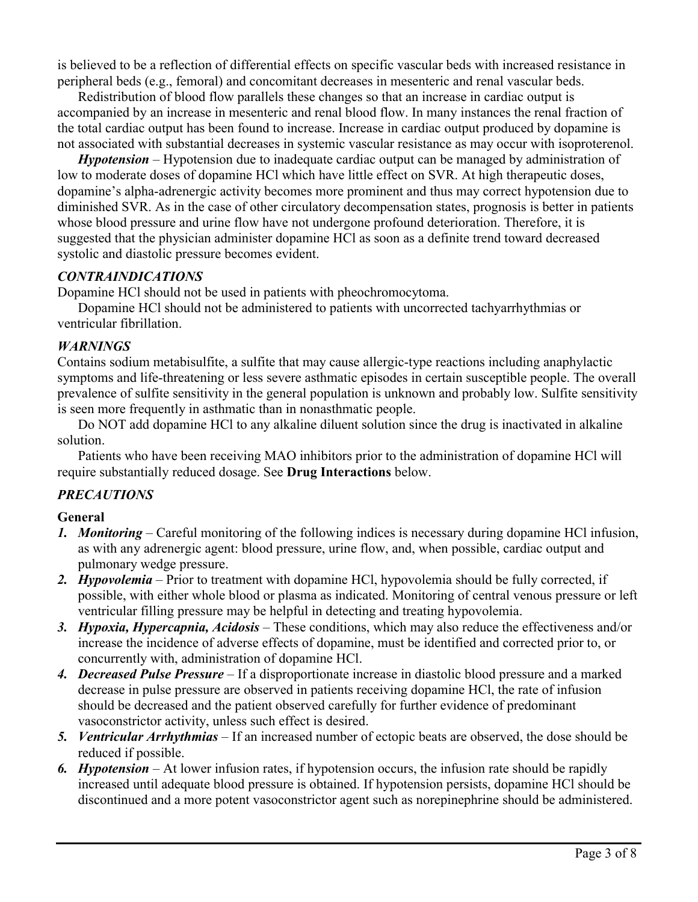is believed to be a reflection of differential effects on specific vascular beds with increased resistance in peripheral beds (e.g., femoral) and concomitant decreases in mesenteric and renal vascular beds.

Redistribution of blood flow parallels these changes so that an increase in cardiac output is accompanied by an increase in mesenteric and renal blood flow. In many instances the renal fraction of the total cardiac output has been found to increase. Increase in cardiac output produced by dopamine is not associated with substantial decreases in systemic vascular resistance as may occur with isoproterenol.

*Hypotension* – Hypotension due to inadequate cardiac output can be managed by administration of low to moderate doses of dopamine HCl which have little effect on SVR. At high therapeutic doses, dopamine's alpha-adrenergic activity becomes more prominent and thus may correct hypotension due to diminished SVR. As in the case of other circulatory decompensation states, prognosis is better in patients whose blood pressure and urine flow have not undergone profound deterioration. Therefore, it is suggested that the physician administer dopamine HCl as soon as a definite trend toward decreased systolic and diastolic pressure becomes evident.

## *CONTRAINDICATIONS*

Dopamine HCl should not be used in patients with pheochromocytoma.

Dopamine HCl should not be administered to patients with uncorrected tachyarrhythmias or ventricular fibrillation.

## *WARNINGS*

Contains sodium metabisulfite, a sulfite that may cause allergic-type reactions including anaphylactic symptoms and life-threatening or less severe asthmatic episodes in certain susceptible people. The overall prevalence of sulfite sensitivity in the general population is unknown and probably low. Sulfite sensitivity is seen more frequently in asthmatic than in nonasthmatic people.

Do NOT add dopamine HCl to any alkaline diluent solution since the drug is inactivated in alkaline solution.

Patients who have been receiving MAO inhibitors prior to the administration of dopamine HCl will require substantially reduced dosage. See **Drug Interactions** below.

# *PRECAUTIONS*

# **General**

- *1. Monitoring* Careful monitoring of the following indices is necessary during dopamine HCl infusion, as with any adrenergic agent: blood pressure, urine flow, and, when possible, cardiac output and pulmonary wedge pressure.
- *2. Hypovolemia* Prior to treatment with dopamine HCl, hypovolemia should be fully corrected, if possible, with either whole blood or plasma as indicated. Monitoring of central venous pressure or left ventricular filling pressure may be helpful in detecting and treating hypovolemia.
- *3. Hypoxia, Hypercapnia, Acidosis* These conditions, which may also reduce the effectiveness and/or increase the incidence of adverse effects of dopamine, must be identified and corrected prior to, or concurrently with, administration of dopamine HCl.
- *4. Decreased Pulse Pressure* If a disproportionate increase in diastolic blood pressure and a marked decrease in pulse pressure are observed in patients receiving dopamine HCl, the rate of infusion should be decreased and the patient observed carefully for further evidence of predominant vasoconstrictor activity, unless such effect is desired.
- *5. Ventricular Arrhythmias* If an increased number of ectopic beats are observed, the dose should be reduced if possible.
- *6. Hypotension* At lower infusion rates, if hypotension occurs, the infusion rate should be rapidly increased until adequate blood pressure is obtained. If hypotension persists, dopamine HCl should be discontinued and a more potent vasoconstrictor agent such as norepinephrine should be administered.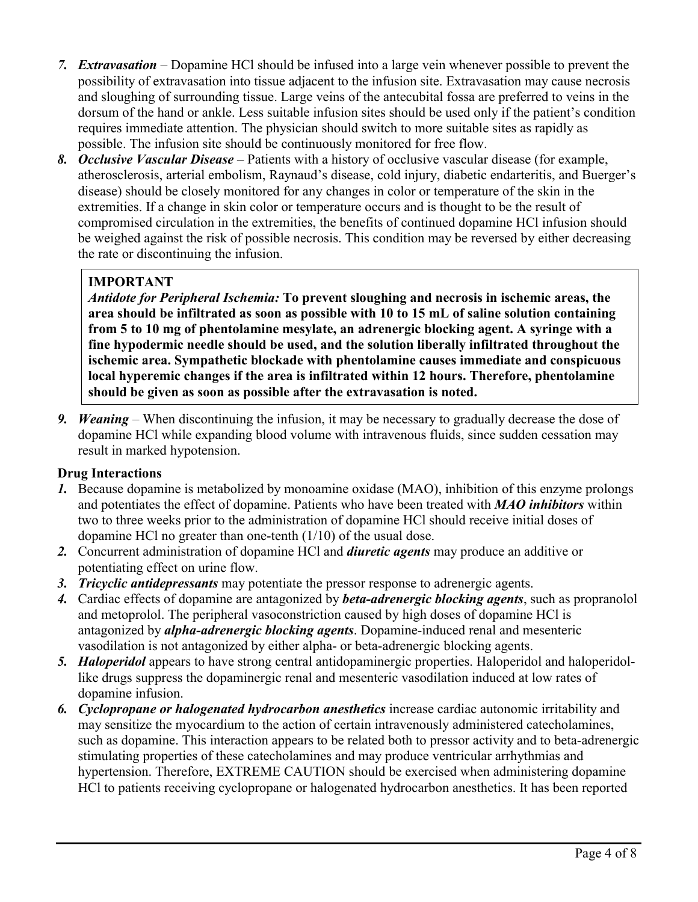- *7. Extravasation* Dopamine HCl should be infused into a large vein whenever possible to prevent the possibility of extravasation into tissue adjacent to the infusion site. Extravasation may cause necrosis and sloughing of surrounding tissue. Large veins of the antecubital fossa are preferred to veins in the dorsum of the hand or ankle. Less suitable infusion sites should be used only if the patient's condition requires immediate attention. The physician should switch to more suitable sites as rapidly as possible. The infusion site should be continuously monitored for free flow.
- *8. Occlusive Vascular Disease* Patients with a history of occlusive vascular disease (for example, atherosclerosis, arterial embolism, Raynaud's disease, cold injury, diabetic endarteritis, and Buerger's disease) should be closely monitored for any changes in color or temperature of the skin in the extremities. If a change in skin color or temperature occurs and is thought to be the result of compromised circulation in the extremities, the benefits of continued dopamine HCl infusion should be weighed against the risk of possible necrosis. This condition may be reversed by either decreasing the rate or discontinuing the infusion.

# **IMPORTANT**

*Antidote for Peripheral Ischemia:* **To prevent sloughing and necrosis in ischemic areas, the area should be infiltrated as soon as possible with 10 to 15 mL of saline solution containing from 5 to 10 mg of phentolamine mesylate, an adrenergic blocking agent. A syringe with a fine hypodermic needle should be used, and the solution liberally infiltrated throughout the ischemic area. Sympathetic blockade with phentolamine causes immediate and conspicuous local hyperemic changes if the area is infiltrated within 12 hours. Therefore, phentolamine should be given as soon as possible after the extravasation is noted.**

*9. Weaning* – When discontinuing the infusion, it may be necessary to gradually decrease the dose of dopamine HCl while expanding blood volume with intravenous fluids, since sudden cessation may result in marked hypotension.

# **Drug Interactions**

- *1.* Because dopamine is metabolized by monoamine oxidase (MAO), inhibition of this enzyme prolongs and potentiates the effect of dopamine. Patients who have been treated with *MAO inhibitors* within two to three weeks prior to the administration of dopamine HCl should receive initial doses of dopamine HCl no greater than one-tenth (1/10) of the usual dose.
- *2.* Concurrent administration of dopamine HCl and *diuretic agents* may produce an additive or potentiating effect on urine flow.
- *3. Tricyclic antidepressants* may potentiate the pressor response to adrenergic agents.
- *4.* Cardiac effects of dopamine are antagonized by *beta-adrenergic blocking agents*, such as propranolol and metoprolol. The peripheral vasoconstriction caused by high doses of dopamine HCl is antagonized by *alpha-adrenergic blocking agents*. Dopamine-induced renal and mesenteric vasodilation is not antagonized by either alpha- or beta-adrenergic blocking agents.
- *5. Haloperidol* appears to have strong central antidopaminergic properties. Haloperidol and haloperidollike drugs suppress the dopaminergic renal and mesenteric vasodilation induced at low rates of dopamine infusion.
- *6. Cyclopropane or halogenated hydrocarbon anesthetics* increase cardiac autonomic irritability and may sensitize the myocardium to the action of certain intravenously administered catecholamines, such as dopamine. This interaction appears to be related both to pressor activity and to beta-adrenergic stimulating properties of these catecholamines and may produce ventricular arrhythmias and hypertension. Therefore, EXTREME CAUTION should be exercised when administering dopamine HCl to patients receiving cyclopropane or halogenated hydrocarbon anesthetics. It has been reported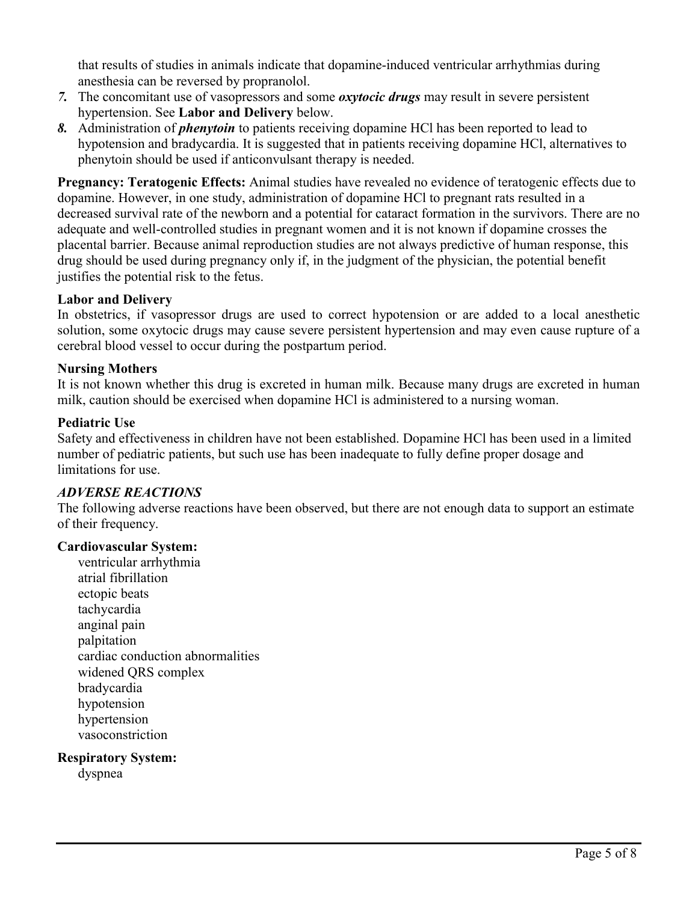that results of studies in animals indicate that dopamine-induced ventricular arrhythmias during anesthesia can be reversed by propranolol.

- *7.* The concomitant use of vasopressors and some *oxytocic drugs* may result in severe persistent hypertension. See **Labor and Delivery** below.
- *8.* Administration of *phenytoin* to patients receiving dopamine HCl has been reported to lead to hypotension and bradycardia. It is suggested that in patients receiving dopamine HCl, alternatives to phenytoin should be used if anticonvulsant therapy is needed.

**Pregnancy: Teratogenic Effects:** Animal studies have revealed no evidence of teratogenic effects due to dopamine. However, in one study, administration of dopamine HCl to pregnant rats resulted in a decreased survival rate of the newborn and a potential for cataract formation in the survivors. There are no adequate and well-controlled studies in pregnant women and it is not known if dopamine crosses the placental barrier. Because animal reproduction studies are not always predictive of human response, this drug should be used during pregnancy only if, in the judgment of the physician, the potential benefit justifies the potential risk to the fetus.

## **Labor and Delivery**

In obstetrics, if vasopressor drugs are used to correct hypotension or are added to a local anesthetic solution, some oxytocic drugs may cause severe persistent hypertension and may even cause rupture of a cerebral blood vessel to occur during the postpartum period.

## **Nursing Mothers**

It is not known whether this drug is excreted in human milk. Because many drugs are excreted in human milk, caution should be exercised when dopamine HCl is administered to a nursing woman.

## **Pediatric Use**

Safety and effectiveness in children have not been established. Dopamine HCl has been used in a limited number of pediatric patients, but such use has been inadequate to fully define proper dosage and limitations for use.

#### *ADVERSE REACTIONS*

The following adverse reactions have been observed, but there are not enough data to support an estimate of their frequency.

# **Cardiovascular System:**

ventricular arrhythmia atrial fibrillation ectopic beats tachycardia anginal pain palpitation cardiac conduction abnormalities widened QRS complex bradycardia hypotension hypertension vasoconstriction

#### **Respiratory System:**

dyspnea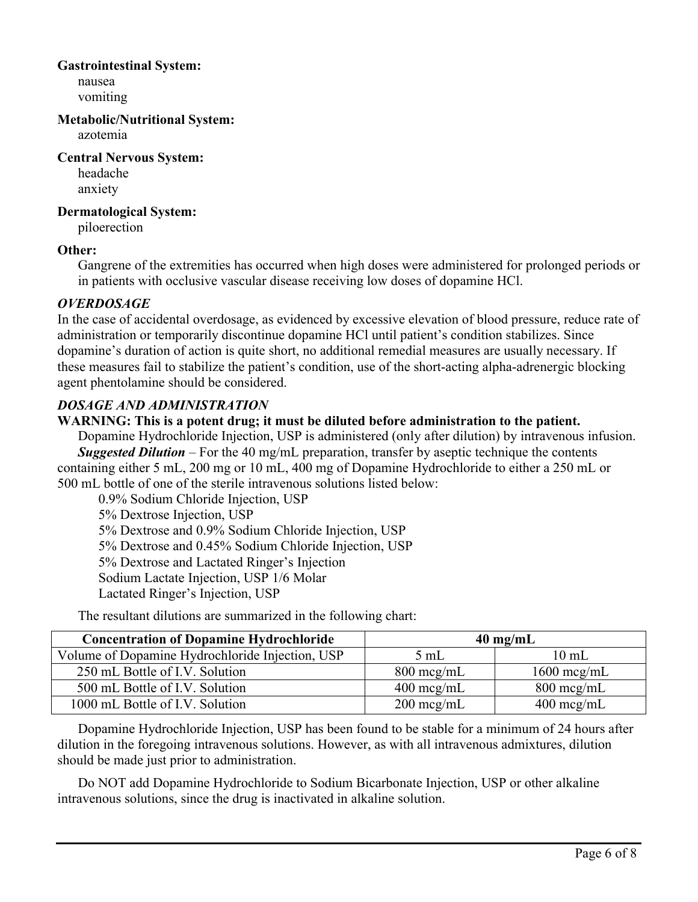#### **Gastrointestinal System:**

nausea vomiting

**Metabolic/Nutritional System:** azotemia

#### **Central Nervous System:**

headache anxiety

#### **Dermatological System:**

piloerection

#### **Other:**

Gangrene of the extremities has occurred when high doses were administered for prolonged periods or in patients with occlusive vascular disease receiving low doses of dopamine HCl.

## *OVERDOSAGE*

In the case of accidental overdosage, as evidenced by excessive elevation of blood pressure, reduce rate of administration or temporarily discontinue dopamine HCl until patient's condition stabilizes. Since dopamine's duration of action is quite short, no additional remedial measures are usually necessary. If these measures fail to stabilize the patient's condition, use of the short-acting alpha-adrenergic blocking agent phentolamine should be considered.

## *DOSAGE AND ADMINISTRATION*

## **WARNING: This is a potent drug; it must be diluted before administration to the patient.**

Dopamine Hydrochloride Injection, USP is administered (only after dilution) by intravenous infusion. *Suggested Dilution* – For the 40 mg/mL preparation, transfer by aseptic technique the contents containing either 5 mL, 200 mg or 10 mL, 400 mg of Dopamine Hydrochloride to either a 250 mL or 500 mL bottle of one of the sterile intravenous solutions listed below:

0.9% Sodium Chloride Injection, USP 5% Dextrose Injection, USP 5% Dextrose and 0.9% Sodium Chloride Injection, USP 5% Dextrose and 0.45% Sodium Chloride Injection, USP 5% Dextrose and Lactated Ringer's Injection Sodium Lactate Injection, USP 1/6 Molar Lactated Ringer's Injection, USP

The resultant dilutions are summarized in the following chart:

| <b>Concentration of Dopamine Hydrochloride</b>  | $40 \text{ mg/mL}$   |                       |
|-------------------------------------------------|----------------------|-----------------------|
| Volume of Dopamine Hydrochloride Injection, USP | $5 \text{ mL}$       | $10 \text{ mL}$       |
| 250 mL Bottle of I.V. Solution                  | $800 \text{~mg/mL}$  | $1600 \text{~mcg/mL}$ |
| 500 mL Bottle of I.V. Solution                  | $400 \text{~mg/mL}$  | $800 \text{~mcg/mL}$  |
| 1000 mL Bottle of I.V. Solution                 | $200 \text{~mcg/mL}$ | $400 \text{~mg/mL}$   |

Dopamine Hydrochloride Injection, USP has been found to be stable for a minimum of 24 hours after dilution in the foregoing intravenous solutions. However, as with all intravenous admixtures, dilution should be made just prior to administration.

Do NOT add Dopamine Hydrochloride to Sodium Bicarbonate Injection, USP or other alkaline intravenous solutions, since the drug is inactivated in alkaline solution.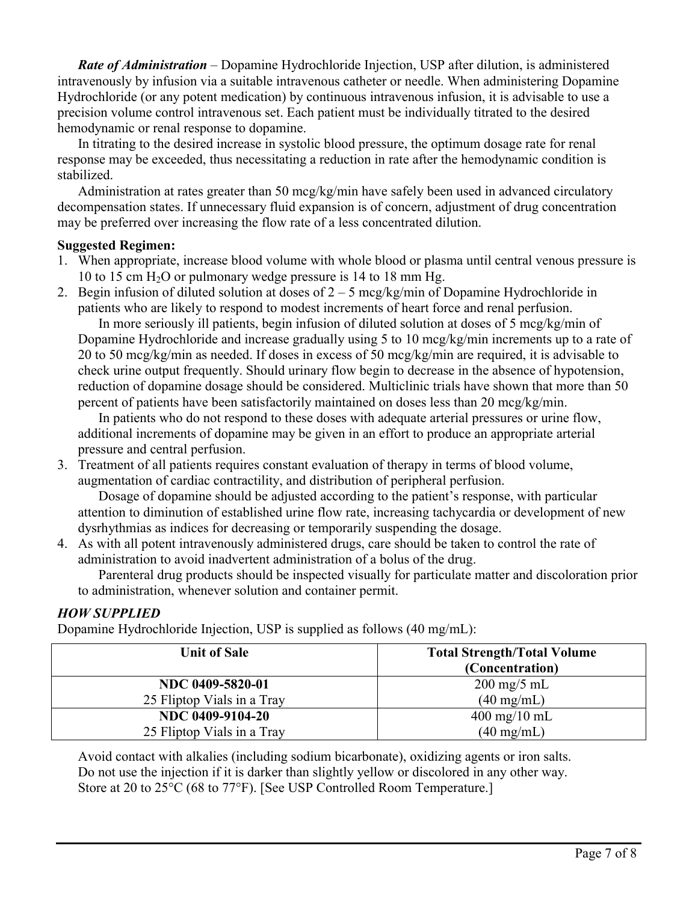*Rate of Administration* – Dopamine Hydrochloride Injection, USP after dilution, is administered intravenously by infusion via a suitable intravenous catheter or needle. When administering Dopamine Hydrochloride (or any potent medication) by continuous intravenous infusion, it is advisable to use a precision volume control intravenous set. Each patient must be individually titrated to the desired hemodynamic or renal response to dopamine.

In titrating to the desired increase in systolic blood pressure, the optimum dosage rate for renal response may be exceeded, thus necessitating a reduction in rate after the hemodynamic condition is stabilized.

Administration at rates greater than 50 mcg/kg/min have safely been used in advanced circulatory decompensation states. If unnecessary fluid expansion is of concern, adjustment of drug concentration may be preferred over increasing the flow rate of a less concentrated dilution.

#### **Suggested Regimen:**

- 1. When appropriate, increase blood volume with whole blood or plasma until central venous pressure is 10 to 15 cm  $H<sub>2</sub>O$  or pulmonary wedge pressure is 14 to 18 mm Hg.
- 2. Begin infusion of diluted solution at doses of  $2 5$  mcg/kg/min of Dopamine Hydrochloride in patients who are likely to respond to modest increments of heart force and renal perfusion.

In more seriously ill patients, begin infusion of diluted solution at doses of 5 mcg/kg/min of Dopamine Hydrochloride and increase gradually using 5 to 10 mcg/kg/min increments up to a rate of 20 to 50 mcg/kg/min as needed. If doses in excess of 50 mcg/kg/min are required, it is advisable to check urine output frequently. Should urinary flow begin to decrease in the absence of hypotension, reduction of dopamine dosage should be considered. Multiclinic trials have shown that more than 50 percent of patients have been satisfactorily maintained on doses less than 20 mcg/kg/min.

In patients who do not respond to these doses with adequate arterial pressures or urine flow, additional increments of dopamine may be given in an effort to produce an appropriate arterial pressure and central perfusion.

3. Treatment of all patients requires constant evaluation of therapy in terms of blood volume, augmentation of cardiac contractility, and distribution of peripheral perfusion.

Dosage of dopamine should be adjusted according to the patient's response, with particular attention to diminution of established urine flow rate, increasing tachycardia or development of new dysrhythmias as indices for decreasing or temporarily suspending the dosage.

4. As with all potent intravenously administered drugs, care should be taken to control the rate of administration to avoid inadvertent administration of a bolus of the drug.

Parenteral drug products should be inspected visually for particulate matter and discoloration prior to administration, whenever solution and container permit.

#### *HOW SUPPLIED*

Dopamine Hydrochloride Injection, USP is supplied as follows (40 mg/mL):

| <b>Unit of Sale</b>        | <b>Total Strength/Total Volume</b><br>(Concentration) |  |
|----------------------------|-------------------------------------------------------|--|
| NDC 0409-5820-01           | $200 \text{ mg}/5 \text{ mL}$                         |  |
| 25 Fliptop Vials in a Tray | $(40 \text{ mg/mL})$                                  |  |
| NDC 0409-9104-20           | $400 \text{ mg}/10 \text{ mL}$                        |  |
| 25 Fliptop Vials in a Tray | $(40 \text{ mg/mL})$                                  |  |

Avoid contact with alkalies (including sodium bicarbonate), oxidizing agents or iron salts. Do not use the injection if it is darker than slightly yellow or discolored in any other way. Store at 20 to 25°C (68 to 77°F). [See USP Controlled Room Temperature.]